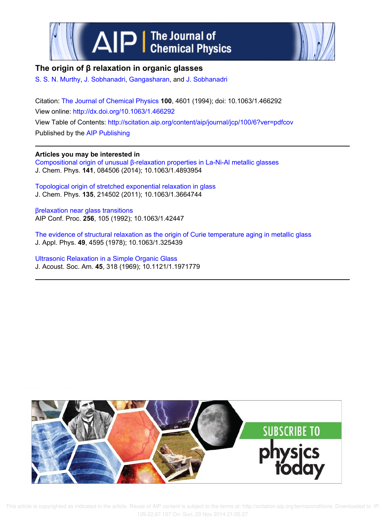



# **The origin of β relaxation in organic glasses**

S. S. N. Murthy, J. Sobhanadri, Gangasharan, and J. Sobhanadri

Citation: The Journal of Chemical Physics **100**, 4601 (1994); doi: 10.1063/1.466292 View online: http://dx.doi.org/10.1063/1.466292 View Table of Contents: http://scitation.aip.org/content/aip/journal/jcp/100/6?ver=pdfcov Published by the AIP Publishing

## **Articles you may be interested in**

Compositional origin of unusual β-relaxation properties in La-Ni-Al metallic glasses J. Chem. Phys. **141**, 084506 (2014); 10.1063/1.4893954

Topological origin of stretched exponential relaxation in glass J. Chem. Phys. **135**, 214502 (2011); 10.1063/1.3664744

βrelaxation near glass transitions AIP Conf. Proc. **256**, 105 (1992); 10.1063/1.42447

The evidence of structural relaxation as the origin of Curie temperature aging in metallic glass J. Appl. Phys. **49**, 4595 (1978); 10.1063/1.325439

Ultrasonic Relaxation in a Simple Organic Glass J. Acoust. Soc. Am. **45**, 318 (1969); 10.1121/1.1971779



 This article is copyrighted as indicated in the article. Reuse of AIP content is subject to the terms at: http://scitation.aip.org/termsconditions. Downloaded to IP: 129.22.67.107 On: Sun, 23 Nov 2014 21:05:27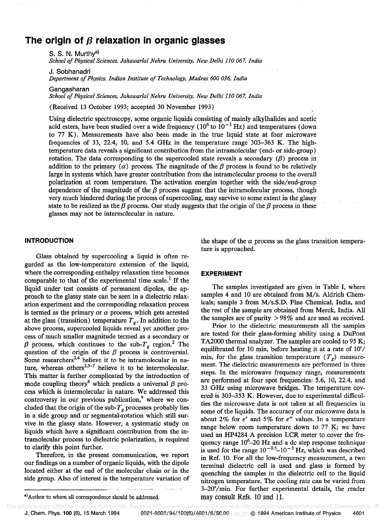# The origin of  $\beta$  relaxation in organic glasses

S. S. N. Murthva) *School of Physical Sciences, lahawarlal Nehru University, New Delhi 110 067, India* 

J. Sobhanadri

*Department of Physics, Indian Institute of Technology, Madras 600 036, India* 

Gangasharan

*School of Physical Sciences, lahawarlal Nehru University, New Delhi 110 067, India* 

(Received 13 October 1993; accepted 30 November 1993)

Using dielectric spectroscopy, some organic liquids consisting of mainly alkylhalides and acetic acid esters, have been studied over a wide frequency ( $10^6$  to  $10^{-3}$  Hz) and temperatures (down to 77 K). Measurements have also been made in the true liquid state at four microwave frequencies of 33, 22.4, 10, and 5.4 GHz in the temperature range  $303-363$  K. The hightemperature data reveals a significant contribution from the intramolecular (end- or side-group) rotation. The data corresponding to the supercooled state reveals a secondary  $(\beta)$  process in addition to the primary  $(\alpha)$  process. The magnitude of the  $\beta$  process is found to be relatively large in systems which have greater contribution from the intramolecular process to the overall polarization at room temperature. The activation energies together with the side/end-group dependence of the magnitude of the  $\beta$  process suggest that the intramolecular process, though very much hindered during the process of supercooling, may survive to some extent in the glassy state to be realized as the  $\beta$  process. Our study suggests that the origin of the  $\beta$  process in these glasses may not be intermolecular in nature.

#### **INTRODUCTION**

Glass obtained by supercooling a liquid is often regarded as the low-temperature extension of the liquid, where the corresponding enthalpy relaxation time becomes comparable to that of the experimental time scale.<sup>1</sup> If the liquid under test consists of permanent dipoles, the approach to the glassy state can be seen in a dielectric relaxation experiment and the corresponding relaxation process is termed as the primary or  $\alpha$  process, which gets arrested at the glass (transition) temperature  $T_g$ . In addition to the above process, supercooled liquids reveal yet another process of much smaller magnitude termed as a secondary or  $\beta$  process, which continues to the sub- $T_g$  region.<sup>2</sup> The question of the origin of the  $\beta$  process is controversial. Some researchers<sup>3,4</sup> believe it to be intramolecular in nature, whereas others<sup>2,5–7</sup> believe it to be intermolecular. This matter is further complicated by the introduction of mode coupling theory<sup>8</sup> which predicts a universal  $\beta$  process which is intermolecular in nature. We addressed this controversy in our previous publication, $9$  where we concluded that the origin of the sub- $T_g$  processes probably lies in a side group and or segmental-rotation which still survive in the glassy state. However, a systematic study on liquids which have a significant contribution from the intramolecular process to dielectric polarization, is required to clarify this point further.

Therefore, in the present communication, we report our findings on a number of organic liquids, with the dipole located either at the end of the molecular chain or in the side group. Also of interest is the temperature variation of

. . . . . . . **. . .** 

#### **EXPERIMENT**

The samples investigated are given in Table I, where samples 4 and 10 are obtained from M/s. Aldrich Chemicals; sample 3 from *M/s.S.D.* Fine Chemical, India, and the rest of the sample are obtained from Merck, India. All the samples are of purity > 98% and are used as received.

Prior to the dielectric measurements all the samples are tested for their glass-forming ability using a DuPont TA2000 thermal analyzer. The samples are cooled to 95 K; equilibrated for 10 min, before heating it at a rate of 10°/ min, for the glass transition temperature  $(T<sub>g</sub>)$  measurement. The dielectric measurements are performed in three steps. In the microwave frequency range, measurements are performed at four spot frequencies: 5.6, lO, 22.4, and 33 GHz using microwave bridges. The temperature covered is 303-353 K. However, due to experimental difficulties the microwave data is not taken at all frequencies in some of the liquids. The accuracy of our microwave data is about 2% for  $\epsilon'$  and 5% for  $\epsilon''$  values. In a temperature range below room temperature down to 77 K; we have used an HP4284 A precision LCR meter to cover the frequency range  $10^6 - 20$  Hz and a dc step response technique is used for the range  $10^{-0.5}$ – $10^{-3}$  Hz, which was described in Ref. lO. For all the low-frequency measurement, a two terminal dielectric cell is used and glass is formed by quenching the samples in the dielectric cell to the liquid nitrogen temperature. The cooling rate can be varied from 3-20°/min. For further experimental details, the reader may consult Refs. 10 and 11.

the shape of the  $\alpha$  process as the glass transition temperature is approached.

a) Author to whom all correspondence should be addressed.

J. Chem. Phys. **100 (6),** 15 March 1994 <sub>1</sub> 0021-9606/94/100(6)/<u>4601/6/\$6.00 <sub>1:05:27</sub> © 1994 American Institute of Physics 4601</u> This article is copyrighted as indicated in the article. Reuse of AIP content is subject to the terms at: http://scitation.aip.org/termsconditions. Downloaded to IP:<br>**J. Chem. Phys. 100 (6), 15 March 1994** 1994 19921-9606/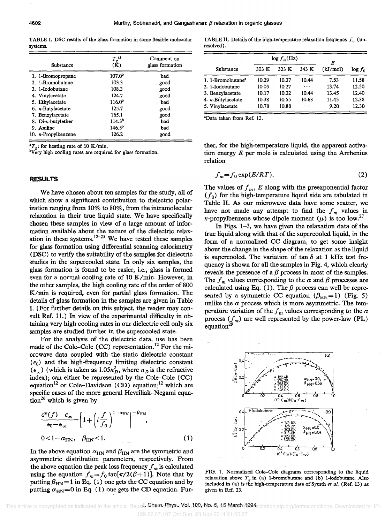TABLE I. DSC results of the glass fonnation in some flexible molecular systems.

| Substance                   | $T_g^{a)}$<br>(K)  | Comment on<br>glass formation |
|-----------------------------|--------------------|-------------------------------|
| 1. 1-Bromopropane           | $107.0^{b}$        | bad                           |
| 2. 1-Bromobutane            | 103.3              | good                          |
| 3. 1-Iodobutane             | 108.3              | good                          |
| 4. Vinylacetate             | 124.7              | good                          |
| 5. Ethylacetate             | $116.0^{b}$        | bad                           |
| 6. $n$ -Butylacetate        | 125.7              | good                          |
| 7. Benzylacetate            | 165.1              | good                          |
| 8. Di-n-butylether          | 114.3 <sup>b</sup> | bad                           |
| 9. Aniline                  | $146.5^{b}$        | bad                           |
| 10. <i>n</i> -Propylbenzene | 126.2              | good                          |

 $T_g$ : for heating rate of 10 K/min.

 $\overline{b}V_{\rm e}$  high cooling rates are required for glass formation.

## **RESULTS**

We have chosen about ten samples for the study, all of which show a significant contribution to dielectric polarization ranging from 10% to 80%, from the intramolecular relaxation in their true liquid state. We have specifically chosen these samples in view of a large amount of information available about the nature of the dielectric relaxation in these systems.<sup>12-25</sup> We have tested these samples for glass formation using differential scanning calorimetry (DSC) to verify the suitability of the samples for dielectric studies in the supercooled state. In only six samples, the glass formation is found to be easier, i.e., glass is formed even for a normal cooling rate of 10 K/min. However, in the other samples, the high cooling rate of the order of 800 K/min is required, even for partial glass formation. The details of glass formation in the samples are given in Table I. (For further details on this subject, the reader may consult Ref. 11.) In view of the experimental difficulty in obtaining very high cooling rates in our dielectric cell only six samples are studied further in the supercooled state.

For the analysis of the dielectric data, use has been made of the Cole–Cole (CC) representation.<sup>12</sup> For the microwave data coupled with the static dielectric constant  $(\epsilon_0)$  and the high-frequency limiting dielectric constant  $(\epsilon_{\infty})$  (which is taken as 1.05 $n_D^2$ , where  $n_D$  is the refractive index); can either be represented by the Cole-Cole (CC) equation<sup>12</sup> or Cole-Davidson (CD) equation;<sup>12</sup> which are specific cases of the more general Hevriliak-Negami equation<sup>26</sup> which is given by

$$
\frac{\epsilon^*(f) - \epsilon_{\infty}}{\epsilon_0 - \epsilon_{\infty}} = \left[1 + \left(i \frac{f}{f_0}\right)^{1 - \alpha_{\text{HN}}}\right]^{-\beta_{\text{HN}}},
$$
  
0 < 1 - \alpha\_{\text{HN}}, \beta\_{\text{HN}} < 1. (1)

In the above equation  $\alpha_{HN}$  and  $\beta_{HN}$  are the symmetric and asymmetric distribution parameters, respectively. From the above equation the peak loss frequency  $f_m$  is calculated using the equation  $f_m = f_0 \tan[\pi/2(\beta + 1)]$ . Note that by putting  $\beta_{HN}= 1$  in Eq. (1) one gets the CC equation and by putting  $\alpha_{HN}=0$  in Eq. (1) one gets the CD equation. Fur-

TABLE II. Details of the high-temperature relaxation frequency  $f_m$  (unresolved).

|                               |       | $\log f_m(\text{Hz})$ | E         |          |            |
|-------------------------------|-------|-----------------------|-----------|----------|------------|
| Substance                     | 303 K | 323 K                 | 343 K     | (kJ/mol) | $\log f_0$ |
| 1. 1-Bromobutane <sup>a</sup> | 10.29 | 10.37                 | 10.44     | 7.53     | 11.58      |
| 2. 1-Iodobutane               | 10.05 | 10.27                 | $\cdots$  | 13.74    | 12.50      |
| 3. Benzylacetate              | 10.17 | 10.32                 | 10.44     | 13.45    | 12.40      |
| 4. <i>n</i> -Butylacetate     | 10.38 | 10.55                 | 10.63     | 11.45    | 12.38      |
| 5. Vinylacetate               | 10.78 | 10.88                 | $\ddotsc$ | 9.20     | 12.30      |

aData taken from Ref. 13.

ther, for the high-temperature liquid, the apparent activation energy *E* per mole is calculated using the Arrhenius relation

$$
f_m = f_0 \exp(E/RT). \tag{2}
$$

The values of  $f_m$ ,  $E$  along with the preexponential factor  $(f_0)$  for the high-temperature liquid side are tabulated in Table II. As our microwave data have some scatter, we have not made any attempt to find the  $f_m$  values in *n*-propylbenzene whose dipole moment  $(\mu)$  is too low.<sup>27</sup>

In Figs. 1-3, we have given the relaxation data of the true liquid along with that of the supercooled liquid, in the form of a normalized CC diagram, to get some insight about the change in the shape of the relaxation as the liquid is supercooled. The variation of tan  $\delta$  at 1 kHz test frequency is shown for all the samples in Fig. 4, which clearly reveals the presence of a  $\beta$  process in most of the samples. The  $f_m$  values corresponding to the  $\alpha$  and  $\beta$  processes are calculated using Eq. (1). The  $\beta$  process can well be represented by a symmetric CC equation ( $\beta_{HN}=1$ ) (Fig. 5) unlike the  $\alpha$  process which is more asymmetric. The temperature variation of the  $f_m$  values corresponding to the  $\alpha$ process  $(f_m)$  are well represented by the power-law (PL) equation<sup>2</sup>



FIG. 1. Normalized Cole-Cole diagrams corresponding to the liquid relaxation above  $T_g$  in (a) 1-bromobutane and (b) 1-iodobutane. Also included in (a) is the high-temperature data of Symth *et aL* (Ref. 13) as given in Ref. 23.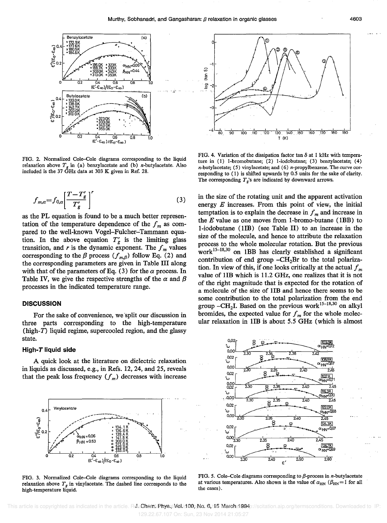

FIG. 2. Normalized Cole-Cole diagrams corresponding to the liquid relaxation above  $T_g$  in (a) benzylacetate and (b) *n*-butylacetate. Also included is the 37  $\text{GHz}$  data at 303 K given in Ref. 28.

$$
f_{m,\alpha} = f_{0,\alpha} \left[ \frac{T - T'_g}{T'_g} \right]^r \tag{3}
$$

as the PL equation is found to be a much better representation of the temperature dependence of the  $f_m$  as compared to the well-known Vogel-Fulcher-Tammann equation. In the above equation  $T_g'$  is the limiting glass transition, and  $r$  is the dynamic exponent. The  $f_m$  values corresponding to the  $\beta$  process  $(f_{m,\beta})$  follow Eq. (2) and the corresponding parameters are given in Table III along with that of the parameters of Eq.  $(3)$  for the  $\alpha$  process. In Table IV, we give the respective strengths of the  $\alpha$  and  $\beta$ processes in the indicated temperature range.

#### **DISCUSSION**

For the sake of convenience, we 'split our discussion in three parts corresponding to the high-temperature (high-T) liquid regime, supercooled region, and the glassy state.

#### High-T liquid side

A quick look at the literature on dielectric relaxation in liquids as discussed, e.g., in Refs. 12,24, and 25, reveals that the peak loss frequency  $(f_m)$  decreases with increase



FIG. 3. Normalized Cole-Cole diagrams corresponding to the liquid relaxation above  $T<sub>g</sub>$  in vinylacetate. The dashed line corresponds to the high-temperature liquid.



FIG. 4. Variation of the dissipation factor tan  $\delta$  at 1 kHz with temperature in  $(1)$  1-bromobutane;  $(2)$  1-iodobutane;  $(3)$  benzylacetate;  $(4)$  $n$ -butylacetate; (5) vinylacetate; and (6)  $n$ -propylbenzene. The curve corresponding to (I) is shifted upwards by 0.5 units for the sake of clarity. The corresponding  $T_g$ 's are indicated by downward arrows.

in the size of the rotating unit and the apparent activation energy *E* increases. From this point of view, the initial temptation is to explain the decrease in  $f_m$  and increase in the  $E$  value as one moves from 1-bromo-butane (1BB) to l-iodobutane (lIB) (see Table II) to an increase in the size of the molecule, and hence to attribute the relaxation process to the whole molecular rotation. But the previous work<sup>15–18,30</sup> on 1BB has clearly established a significant contribution of end group  $-CH<sub>2</sub>Br$  to the total polarization. In view of this, if one looks critically at the actual  $f_m$ value of 1IB which is 11.2 GHz, one realizes that it is not of the right magnitude that is expected for the rotation of a molecule of the size of lIB and hence there seems to be some contribution to the total polarization from the end group  $-CH_2I$ . Based on the previous work<sup>15-18,30</sup> on alkyl bromides, the expected value for  $f_m$  for the whole molecular relaxation in lIB is about 5.5 GHz (which is almost



FIG. 5. Cole-Cole diagrams corresponding to  $\beta$ -process in *n*-butylacetate at various temperatures. Also shown is the value of  $\alpha_{HN}$  ( $\beta_{HN}=1$  for all the cases).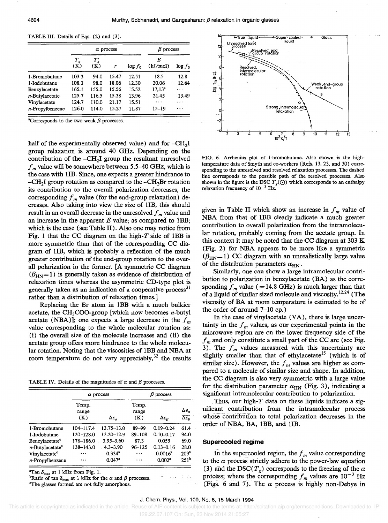| TABLE III. Details of Eqs. (2) and (3). |  |
|-----------------------------------------|--|
|-----------------------------------------|--|

|                    | $\alpha$ process |               |       |            | $\beta$ process |            |
|--------------------|------------------|---------------|-------|------------|-----------------|------------|
|                    | $T_{g}$<br>(K)   | $T_g'$<br>(K) | r     | $\log f_0$ | E<br>(kJ/mol)   | $\log f_0$ |
| 1-Bromobutane      | 103.3            | 94.0          | 15.47 | 12.51      | 18.5            | 12.8       |
| 1-Iodobutane       | 108.3            | 98.0          | 18.06 | 12.30      | 20.06           | 12.64      |
| Benzylacetate      | 165.1            | 155.0         | 15.56 | 15.52      | $17,13^a$       | $\cdots$   |
| $n$ -Butylacetate  | 125.7            | 116.5         | 15.38 | 13.96      | 21.45           | 13.49      |
| Vinylacetate       | 124.7            | 110.0         | 21.17 | 15.51      | $\cdots$        | .          |
| $n$ -Propylbenzene | 126.0            | 114.0         | 15.27 | 11.87      | $15 - 19$       |            |

<sup>a</sup>Corresponds to the two weak  $\beta$  processes.

half of the experimentally observed value) and for  $-CH<sub>2</sub>I$ group relaxation is around 40 GHz. Depending on the contribution of the  $-CH<sub>2</sub>I$  group the resultant unresolved  $f_m$  value will be somewhere between 5.5-40 GHz, which is the case with 1IB. Since, one expects a greater hindrance to  $-CH<sub>2</sub>I$  group rotation as compared to the  $-CH<sub>2</sub>Br$  rotation its contribution to the overall polarization decreases, the corresponding  $f_m$  value (for the end-group relaxation) decreases. Also taking into view the size of lIB, this should result in an overall decrease in the unresolved  $f_m$  value and an increase in the apparent *E* value; as compared to IBB; which is the case (see Table II). Also one may notice from Fig. 1 that the CC diagram on the high- $T$  side of 1BB is more symmetric than that of the corresponding CC diagram of lIB, which is probably a reflection of the much greater contribution of the end-group rotation to the overall polarization in the former. [A symmetric CC diagram  $(\beta_{HN}=1)$  is generally taken as evidence of distribution of relaxation times whereas the asymmetric CD-type plot is generally taken as an indication of a cooperative process<sup>31</sup> rather than a distribution of relaxation times.]

Replacing the Br atom in lBB with a much bulkier acetate, the  $CH<sub>3</sub>COO-group$  [which now becomes *n*-butyl acetate (NBA)]; one expects a large decrease in the  $f_m$ value correspondmg to the whole molecular rotation as: (i) the overall size of the molecule increases and (ii) the acetate group offers more hindrance to the whole molecular rotation. Noting that the viscosities of lBB and NBA at room temperature do not vary appreciably,  $32$  the results

TABLE IV. Details of the magnitudes of  $\alpha$  and  $\beta$  processes.

|                                |                       | $\alpha$ process           | $\beta$ process       |                     |                                                                  |  |
|--------------------------------|-----------------------|----------------------------|-----------------------|---------------------|------------------------------------------------------------------|--|
|                                | Temp.<br>range<br>(K) | $\Delta \epsilon_{\alpha}$ | Temp.<br>range<br>(K) | $\Delta \epsilon_B$ | $\Delta \epsilon_\alpha$<br>$\overline{\Delta \epsilon_{\beta}}$ |  |
| 1-Bromobutane                  | 104-117.4             | 13.75-13.0                 | 89-99                 | $0.19 - 0.24$       | 61.4                                                             |  |
| 1-Iodobutane                   | 120-128.0             | 13.20-12.9                 | 89-108                | $0.10 - 0.17$       | 94.0                                                             |  |
| Benzylacetate <sup>c</sup>     | 178-186.0             | 3.95-3.60                  | 87.3                  | 0.055               | 69.0                                                             |  |
| $n$ -Butvlacetate <sup>c</sup> | 138–143.0             | $4.3 - 3.90$               | $96 - 125$            | $0.13 - 0.16$       | 28.0                                                             |  |
| Vinvlacetate <sup>c</sup>      | .                     | $0.334^{a}$                |                       | $0.0016^a$          | 209 <sup>b</sup>                                                 |  |
| $n$ -Propylbenzene             | .                     | $0.047^{\rm a}$            | $\cdots$              | 0.002 <sup>a</sup>  | 251 <sup>b</sup>                                                 |  |

 $^{\text{a}}$ Tan  $\delta_{\text{max}}$  at 1 kHz from Fig. 1.

<sup>b</sup>Ratio of tan  $\delta_{\text{max}}$  at 1 kHz for the  $\alpha$  and  $\beta$  processes.

"The glasses formed are not fully amorphous.



FIG. 6. Arrhenius plot of I-bromobutane. Also shown is the hightemperature data of Smyth and co-workers (Refs. 13, 23, and 30) corresponding to the unresolved and resolved relaxation processes. The dashed line corresponds to the possible path of the resolved processes. Also shown in the figure is the DSC  $T_g(\odot)$  which corresponds to an enthalpy relaxation frequency of  $10^{-3}$  Hz.

given in Table II which show an increase in  $f_m$  value of NBA from that of lBB clearly indicate a much greater contribution to overall polarization from the intramolecular rotation, probably coming from the acetate group. In this context it may be noted that the CC diagram at 303 K (Fig. 2) for NBA appears to be more like a symmetric  $(\beta_{HN}= 1)$  CC diagram with an unrealistically large value of the distribution parameters  $\alpha_{HN}$ .

Similarly, one can show a large intramolecular contribution to polarization in benzylacetate (BA) as the corresponding  $f_m$  value (= 14.8 GHz) is much larger than that of a liquid of similar sized molecule and viscosity.<sup>12,24</sup> (The viscosity of BA at room temperature is estimated to be of the order of around 7-10 cp.)

In the case of vinylacetate (VA), there is large uncertainty in the  $f_m$  values, as our experimental points in the microwave region are on the lower frequency side of the  $f_m$  and only constitute a small part of the CC arc (see Fig. 3). The  $f_m$  values measured with this uncertainty are slightly smaller than that of ethylacetate<sup>15</sup> (which is of similar size). However, the  $f_m$  values are higher as compared to a molecule of similar size and shape. In addition, the CC diagram is also very symmetric with a large value for the distribution parameter  $\alpha_{HN}$  (Fig. 3), indicating a significant intramolecular contribution to polarization.

Thus, our high- $T$  data on these liquids indicate a significant contribution from the intramolecular process whose contribution to total polarization decreases in the order of NBA, BA, IBB, and lIB.

#### Supercooled regime

In the supercooled region, the  $f_m$  value corresponding to the  $\alpha$  process strictly adhere to the power-law equation (3) and the DSC( $T_g$ ) corresponds to the freezing of the  $\alpha$ process; where the corresponding  $f_m$  values are  $10^{-3}$  Hz (Figs. 6 and 7). The  $\alpha$  process is highly non-Debye in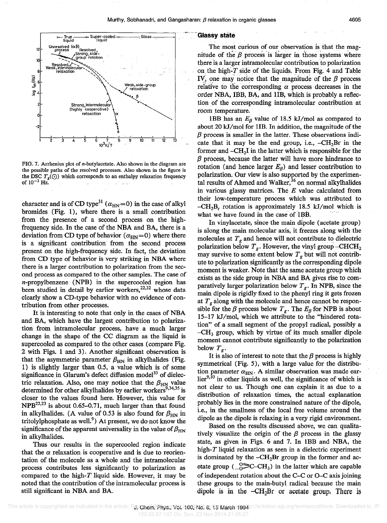

FIG. 7. Arrhenius plot of  $n$ -butylacetate. Also shown in the diagram are the possible paths of the resolved processes. Also shown in the figure is the DSC  $T_g(\odot)$  which corresponds to an enthalpy relaxation frequency of  $10^{-3}$  Hz.

character and is of CD type<sup>31</sup> ( $\alpha_{\text{HN}}=0$ ) in the case of alkyl bromides (Fig. 1), where there is a small contribution from the presence of a second process on the highfrequency side. In the case of the NBA and BA, there is a deviation from CD type of behavior  $(\alpha_{HN}=0)$  where there is a significant contribution from the second process present on the high-frequency side. In fact, the deviation from CD type of behavior is very striking in NBA where there is a larger contribution to polarization from the second process as compared to the other samples. The case of n-propylbenzene (NPB) in the supercooled region has been studied in detail by earlier workers,<sup>22,32</sup> whose data clearly show a CD-type behavior with no evidence of contribution from other processes.

It is interesting to note that only in the cases of NBA and BA, which have the largest contribution to polarization from intramolecular process, have a much larger change in the shape of the CC diagram as the liquid is supercooled as compared to the other cases (compare Fig. 2 with Figs. 1 and 3). Another significant observation is that the asymmetric parameter  $\beta_{HN}$  in alkylhalides (Fig. 1) is slightly larger than 0.5, a value which is of some significance in Glarum's defect diffusion model<sup>33</sup> of dielectric relaxation. Also, one may notice that the  $\beta_{HN}$  value determined for other alkylhalides by earlier workers<sup>9,34,35</sup> is closer to the values found here. However, this value for  $NPB^{22,23}$  is about 0.65-0.71, much larger than that found in alkylhalides. (A value of 0.53 is also found for  $\beta_{HN}$  in tritolylphosphate as well.<sup>9</sup>) At present, we do not know the significance of the apparent universality in the value of  $\beta_{HN}$ in alkylhalides.

Thus our results in the supercooled region indicate that the  $\alpha$  relaxation is cooperative and is due to reorientation of the molecule as a whole and the intramolecular process contributes less significantly to polarization as compared to the high- $T$  liquid side. However, it may be noted that the contribution of the intramolecular process is still significant in NBA and BA.

The most curious of our observation is that the magnitude of the  $\beta$  process is larger in those systems where there is, a larger intramolecular contribution to polarization on the high- $T$  side of the liquids. From Fig. 4 and Table IV, one may notice that the magnitude of the  $\beta$  process relative to the corresponding  $\alpha$  process decreases in the order NBA, IBB, BA, and lIB, which is probably a reflection of the corresponding intramolecular contribution at room temperature.

1BB has an  $E_\beta$  value of 18.5 kJ/mol as compared to about 20 kJ/mol for 1IB. In addition, the magnitude of the  $\beta$  process is smaller in the latter. These observations indicate that it may be the end group, i.e.,  $-CH<sub>2</sub>Br$  in the former and  $-CH<sub>2</sub>I$  in the latter which is responsible for the *f3* process, because the latter will have more hindrance to rotation (and hence larger  $E<sub>β</sub>$ ) and lesser contribution to polarization. Our view is also supported by the experimental results of Ahmed and Walker,<sup>36</sup> on normal alkylhalides in various glassy matrices. The *E* value calculated from their low-temperature process which was attributed to -CH2Br rotation is approximately 18.5 *kJ/mol* which is what we have found in the case of 1BB.

In vinylacetate, since the main dipole (acetate group) is along the main molecular axis, it freezes along with the molecules at  $T<sub>g</sub>$  and hence will not contribute to dielectric polarization below  $T_g$ . However, the vinyl group  $-$ CHCH<sub>2</sub> may survive to some extent below  $T_g$  but will not contribute to polarization significantly as the corresponding dipole moment is weaker. Note that the same acetate group which exists as the side group in NBA and BA gives rise to COmparatively larger polarization below *T<sup>g</sup> •* In NPB, since the main dipole is rigidly fixed to the phenyl ring it gets frozen at *T g* along with the molecule and hence cannot be responsible for the  $\beta$  process below  $T_g$ . The  $E_\beta$  for NPB is about *15-17 kJ/mol,* which we attribute to the "hindered rotation" of a small segment of the propyl radical, possibly a  $-CH<sub>3</sub>$  group, which by virtue of its much smaller dipole moment cannot contribute significantly to the polarization below  $T_g$ .

It is also of interest to note that the  $\beta$  process is highly symmetrical (Fig. 5), with a large value for the distribution parameter  $\alpha_{HN}$ . A similar observation was made ear- $\text{lier}^{9,10}$  in other liquids as well, the significance of which is not clear to us. Though one can explain it as due to a distribution of relaxation times, the actual explanation probably lies in the more constrained nature of the dipole, i.e., in the smallness of the local free volume around the dipole as the dipole is relaxing in a very rigid environment.

Based on the results discussed above, we can qualitatively visualize the origin of the  $\beta$  process in the glassy state, as given in Figs. 6 and 7. In IBB and NBA, the high-T liquid relaxation as seen in a dielectric experiment is dominated by the  $-CH<sub>2</sub>Br$  group in the former and acetate group  $\left(\begin{array}{c} 0 \\ -0 \end{array}\right)$  = C-CH<sub>3</sub>) in the latter which are capable of independent rotation about the C-C or O-C axis joining these groups to the main-butyl radical because the main dipole is in the  $-CH<sub>2</sub>Br$  or acetate group. There is